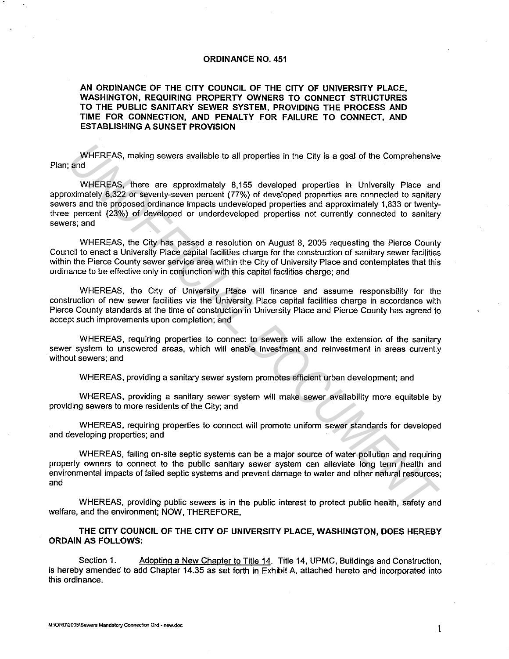#### **ORDINANCE NO. 451**

**AN ORDINANCE OF THE CITY COUNCIL OF THE CITY OF UNIVERSITY PLACE, WASHINGTON, REQUIRING PROPERTY OWNERS TO CONNECT STRUCTURES TO THE PUBLIC SANITARY SEWER SYSTEM, PROVIDING THE PROCESS AND TIME FOR CONNECTION, AND PENALTY FOR FAILURE TO CONNECT, AND ESTABLISHING A SUNSET PROVISION** 

WHEREAS, making sewers available to all properties in the City is a goal of the Comprehensive Plan; and

WHEREAS, there are approximately 8,155 developed properties in University Place and approximately 6,322 or seventy-seven percent (77%) of developed properties are connected to sanitary sewers and the proposed ordinance impacts undeveloped properties and approximately 1,833 or twentythree percent (23%) of developed or underdeveloped properties not currently connected to sanitary **sewers; and**  WHEREAS, making sewers available to all properties in the City is a goal of the Comprehensive<br>
WHEREAS, there are approximately 8,155 developed properties in University Place and<br>
WHEREAS, there are approximately 8,322 or

WHEREAS, the City has passed a resolution on August 8, 2005 requesting the Pierce County Council to enact a University Place capital facilities charge for the construction of sanitary sewer facilities within the Pierce County sewer service area within the City of University Place and contemplates that this ordinance to be effective only in conjunction with this capital facilities charge; and

WHEREAS, the City of University Place will finance and assume responsibility for the construction of new sewer facilities via the University Place capital facilities charge in accordance with Pierce County standards at the time of construction in University Place and Pierce County has agreed to accept such improvements upon completion; and

WHEREAS, requiring properties to connect to sewers will allow the extension of the sanitary sewer system to unsewered areas, which will enable investment and reinvestment in areas currently without sewers; and

WHEREAS, providing a sanitary sewer system promotes efficient urban development; and

WHEREAS, providing a sanitary sewer system will make sewer availability more equitable by providing sewers to more residents of the City; and

WHEREAS, requiring properties to connect will promote uniform sewer standards for developed and developing properties; and

WHEREAS, failing on-site septic systems can be a major source of water pollution and requiring property owners to connect to the public sanitary sewer system can alleviate long term health and environmental impacts of failed septic systems and prevent damage to water and other natural resources; and

WHEREAS, providing public sewers is in the public interest to protect public health, safety and welfare, and the environment; NOW, THEREFORE,

**THE CITY COUNCIL OF THE CITY OF UNIVERSITY PLACE, WASHINGTON, DOES HEREBY ORDAIN AS FOLLOWS:** 

Section 1. Adopting a New Chapter to Title 14. Title 14, UPMC, Buildings and Construction, is hereby amended to add Chapter 14.35 as set forth in Exhibit A, attached hereto and incorporated into this ordinance.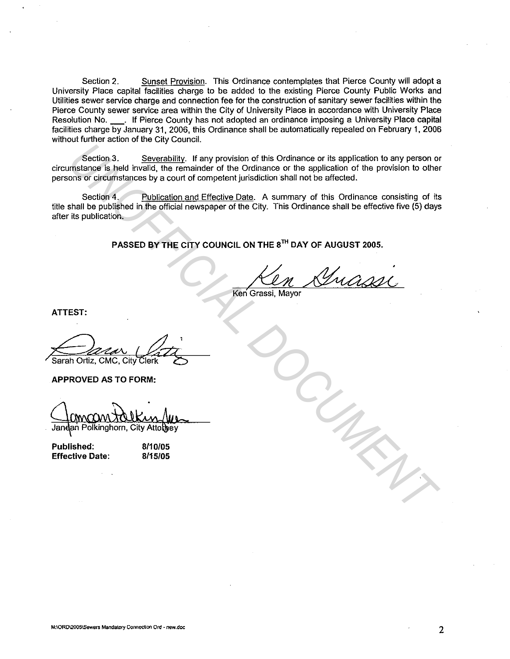Section 2. Sunset Provision. This Ordinance contemplates that Pierce County will adopt a University Place capital facilities charge to be added to the existing Pierce County Public Works and Utilities sewer service charge and connection fee for the construction of sanitary sewer facilities within the Pierce County sewer service area within the City of University Place in accordance with University Place Resolution No. \_\_\_. If Pierce County has not adopted an ordinance imposing a University Place capital facilities charge by January 31, 2006, this Ordinance shall be automatically repealed on February 1, 2006 without further action of the City Council.

Section 3. Severability. If any provision of this Ordinance or its application to any person or circumstance is held invalid, the remainder of the Ordinance or the application of the provision to other persons or circumstances by a court of competent jurisdiction shall not be affected.

Section 4. Publication and Effective Date. A summary of this Ordinance consisting of its title shall be published in the official newspaper of the City. This Ordinance shall be effective five (5) days after its publication. Section 3. Severability. If any provision of this Ordinance or its application to any person or<br>
ons or clicumstances by a court of competent jurisdiction shall not be affected.<br>
Section 4. Publication and Effective Date.<br>

**PASSED BY THE CITY COUNCIL ON THE 8TH DAY OF AUGUST 2005.** 

Keri Grassi, Mayor

**ATTEST:** 

Sarah Ortiz, CMC, City Clerk

**APPROVED AS TO FORM:** 

| Published:             |  |
|------------------------|--|
| <b>Effective Date:</b> |  |

**8110/05 8/15/05** 

2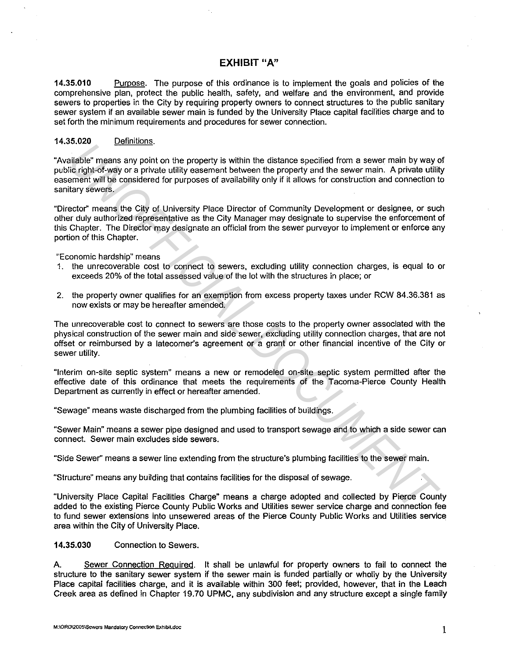# **EXHIBIT "A"**

**14.35.010** Purpose. The purpose of this ordinance is to implement the goals and policies of the comprehensive plan, protect the public health, safety, and welfare and the environment, and provide sewers to properties in the City by requiring property owners to connect structures to the public sanitary sewer system if an available sewer main is funded by the University Place capital facilities charge and to set forth the minimum requirements and procedures for sewer connection.

### 14.35.020 Definitions.

"Available" means any point on the property is within the distance specified from a sewer main by way of public right-of-way or a private utility easement between the property and the sewer main. A private utility easement will be considered for purposes of availability only if it allows for construction and connection to sanitary sewers.

"Director" means the City of University Place Director of Community Development or designee, or such other duly authorized representative as the City Manager may designate to supervise the enforcement of this Chapter. The Director may designate an official from the sewer purveyor to implement or enforce any portion of this Chapter. CONSTANT CONSTANT TO THE POSITE: It is matted with the state specified from a sever main by way calible "ments any point on the property is within the distance specified from a sever main. A private utility can<br>be included

"Economic hardship" means

- 1. the unrecoverable cost to connect to sewers, excluding utility connection charges, is equal to or exceeds 20% of the total assessed value of the lot with the structures in place; or
- 2. the property owner qualifies for an exemption from excess property taxes under RCW 84.36.381 as now exists or may be hereafter amended.

The unrecoverable cost to connect to sewers are those costs to the property owner associated with the physical construction of the sewer main and side sewer, excluding utility connection charges, that are not offset or reimbursed by a latecomer's agreement or a grant or other financial incentive of the City or sewer utility.

"Interim on-site septic system" means a new or remodeled on-site septic system permitted after the effective date of this ordinance that meets the requirements of the Tacoma-Pierce County Health Department as currently in effect or hereafter amended.

"Sewage" means waste discharged from the plumbing facilities of buildings.

"Sewer Main" means a sewer pipe designed and used to transport sewage and to which a side sewer can connect. Sewer main excludes side sewers.

"Side Sewer'' means a sewer line extending from the structure's plumbing facilities to the sewer main.

"Structure" means any building that contains facilities for the disposal of sewage.

"University Place Capital Facilities Charge" means a charge adopted and collected by Pierce County added to the existing Pierce County Public Works and Utilities sewer service charge and connection fee to fund sewer extensions into unsewered areas of the Pierce County Public Works and Utilities service area within the City of University Place.

**14.35.030** Connection to Sewers.

A. Sewer Connection Required. It shall be unlawful for property owners to fail to connect the structure to the sanitary sewer system if the sewer main is funded partially or wholly by the University Place capital facilities charge, and it is available within 300 feet; provided, however, that in the Leach Creek area as defined in Chapter 19.70 UPMC, any subdivision and any structure except a single family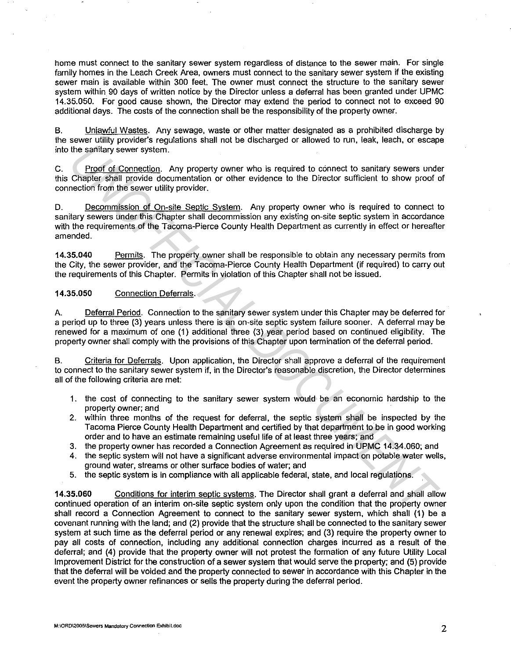home must connect to the sanitary sewer system regardless of distance to the sewer main. For single family homes in the Leach Creek Area, owners must connect to the sanitary sewer system if the existing sewer main is available within 300 feet. The owner must connect the structure to the sanitary sewer system within 90 days of written notice by the Director unless a deferral has been granted under UPMC 14.35.050. For good cause shown, the Director may extend the period to connect not to exceed 90 additional days. The costs of the connection shall be the responsibility of the property owner.

B. Unlawful Wastes. Any sewage, waste or other matter designated as a prohibited discharge by the sewer utility provider's regulations shall not be discharged or allowed to run, leak, leach, or escape into the sanitary sewer system.

C. Proof of Connection. Any property owner who is required to connect to sanitary sewers under this Chapter shall provide documentation or other evidence to the Director sufficient to show proof of connection from the sewer utility provider.

D. Decommission of On-site Septic System. Any property owner who is required to connect to sanitary sewers under this Chapter shall decommission any existing on-site septic system in accordance with the requirements of the Tacoma-Pierce County Health Department as currently in effect or hereafter amended. the sanitary severt system.<br> **Uncertigate System Change and Amely Conservative Change Change Change Change Change Change shall provide documentation or other evidence to the Director sufficient to show proof<br>
Uncertainty s** 

14.35.040 Permits. The property owner shall be responsible to obtain any necessary permits from the City, the sewer provider, and the Tacoma-Pierce County Health Department (if required) to carry out the requirements of this Chapter. Permits in violation of this Chapter shall not be issued.

#### 14.35.050 Connection Deferrals.

A. Deferral Period. Connection to the sanitary sewer system under this Chapter may be deferred for a period up to three (3) years unless there is an on-site septic system failure sooner. A deferral may be renewed for a maximum of one (1) additional three (3) year period based on continued eligibility. The property owner shall comply with the provisions of this Chapter upon termination of the deferral period.

B. Criteria for Deferrals. Upon application, the Director shall approve a deferral of the requirement to connect to the sanitary sewer system if, in the Director's reasonable discretion, the Director determines all of the following criteria are met:

- 1. the cost of connecting to the sanitary sewer system would be an economic hardship to the property owner; and
- 2. within three months of the request for deferral, the septic system shall be inspected by the Tacoma Pierce County Health Department and certified by that department to be in good working order and to have an estimate remaining useful life of at least three years; and
- 3. the property owner has recorded a Connection Agreement as required in UPMC 14.34.060; and
- 4. the septic system will not have a significant adverse environmental impact on potable water wells, ground water, streams or other surface bodies of water; and
- 5. the septic system is in compliance with all applicable federal, state, and local regulations.

14.35.060 Conditions for interim septic systems. The Director shall grant a deferral and shall allow continued operation of an interim on-site septic system only upon the condition that the property owner shall record a Connection Agreement to connect to the sanitary sewer system, which shall (1) be a covenant running with the land; and (2) provide that the structure shall be connected to the sanitary sewer system at such time as the deferral period or any renewal expires; and (3) require the property owner to pay all costs of connection, including any additional connection charges incurred as a result of the deferral; and (4) provide that the property owner will not protest the formation of any future Utility Local Improvement District for the construction of a sewer system that would serve the property; and (5) provide that the deferral will be voided and the property connected to sewer in accordance with this Chapter in the event the property owner refinances or sells the property during the deferral period.